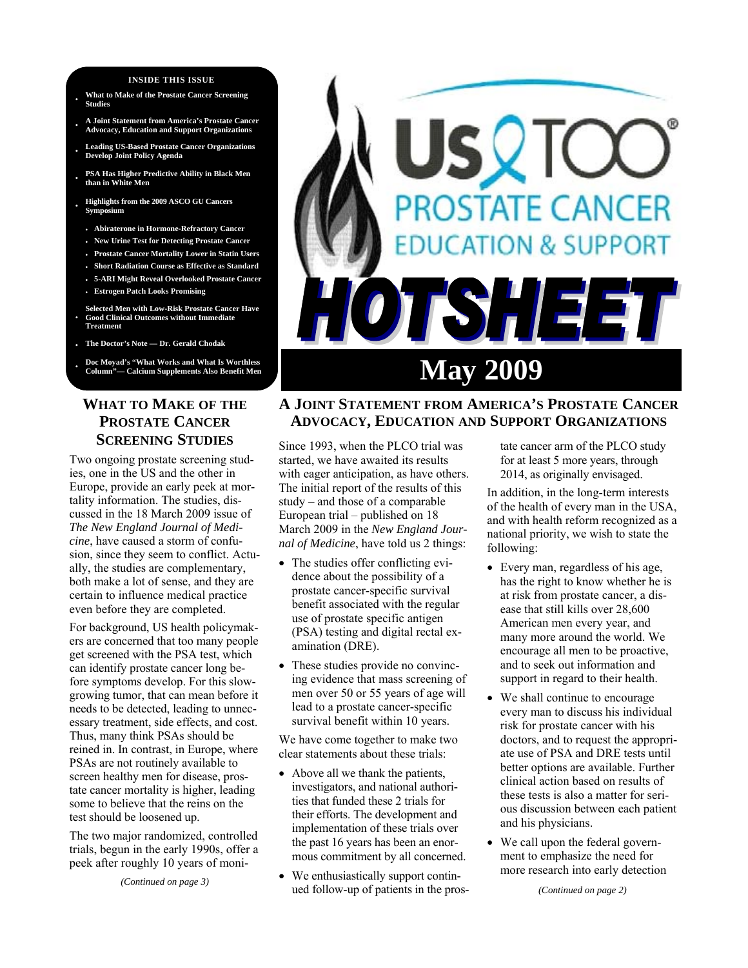#### **INSIDE THIS ISSUE**

- **· What to Make of the Prostate Cancer Screening Studies**
- **· A Joint Statement from America's Prostate Cancer Advocacy, Education and Support Organizations**
- **· Leading US-Based Prostate Cancer Organizations Develop Joint Policy Agenda**
- **· PSA Has Higher Predictive Ability in Black Men than in White Men**
- **· Highlights from the 2009 ASCO GU Cancers Symposium**
- **Abiraterone in Hormone-Refractory Cancer**
- **New Urine Test for Detecting Prostate Cancer**
- **Prostate Cancer Mortality Lower in Statin Users**
- **Short Radiation Course as Effective as Standard**
- **5-ARI Might Reveal Overlooked Prostate Cancer**
- **Estrogen Patch Looks Promising**
- **· Selected Men with Low-Risk Prostate Cancer Have Good Clinical Outcomes without Immediate Treatment**
- **· The Doctor's Note Dr. Gerald Chodak**
- **· Doc Moyad's "What Works and What Is Worthless**

# **WHAT TO MAKE OF THE PROSTATE CANCER SCREENING STUDIES**

Two ongoing prostate screening studies, one in the US and the other in Europe, provide an early peek at mortality information. The studies, discussed in the 18 March 2009 issue of *The New England Journal of Medicine*, have caused a storm of confusion, since they seem to conflict. Actually, the studies are complementary, both make a lot of sense, and they are certain to influence medical practice even before they are completed.

For background, US health policymakers are concerned that too many people get screened with the PSA test, which can identify prostate cancer long before symptoms develop. For this slowgrowing tumor, that can mean before it needs to be detected, leading to unnecessary treatment, side effects, and cost. Thus, many think PSAs should be reined in. In contrast, in Europe, where PSAs are not routinely available to screen healthy men for disease, prostate cancer mortality is higher, leading some to believe that the reins on the test should be loosened up.

The two major randomized, controlled trials, begun in the early 1990s, offer a peek after roughly 10 years of moni-

*(Continued on page 3)* 



# **A JOINT STATEMENT FROM AMERICA'S PROSTATE CANCER ADVOCACY, EDUCATION AND SUPPORT ORGANIZATIONS**

Since 1993, when the PLCO trial was started, we have awaited its results with eager anticipation, as have others. The initial report of the results of this study – and those of a comparable European trial – published on 18 March 2009 in the *New England Journal of Medicine*, have told us 2 things:

- The studies offer conflicting evidence about the possibility of a prostate cancer-specific survival benefit associated with the regular use of prostate specific antigen (PSA) testing and digital rectal examination (DRE).
- These studies provide no convincing evidence that mass screening of men over 50 or 55 years of age will lead to a prostate cancer-specific survival benefit within 10 years.

We have come together to make two clear statements about these trials:

- Above all we thank the patients, investigators, and national authorities that funded these 2 trials for their efforts. The development and implementation of these trials over the past 16 years has been an enormous commitment by all concerned.
- We enthusiastically support continued follow-up of patients in the pros-

tate cancer arm of the PLCO study for at least 5 more years, through 2014, as originally envisaged.

In addition, in the long-term interests of the health of every man in the USA, and with health reform recognized as a national priority, we wish to state the following:

- Every man, regardless of his age, has the right to know whether he is at risk from prostate cancer, a disease that still kills over 28,600 American men every year, and many more around the world. We encourage all men to be proactive, and to seek out information and support in regard to their health.
- We shall continue to encourage every man to discuss his individual risk for prostate cancer with his doctors, and to request the appropriate use of PSA and DRE tests until better options are available. Further clinical action based on results of these tests is also a matter for serious discussion between each patient and his physicians.
- We call upon the federal government to emphasize the need for more research into early detection

*(Continued on page 2)*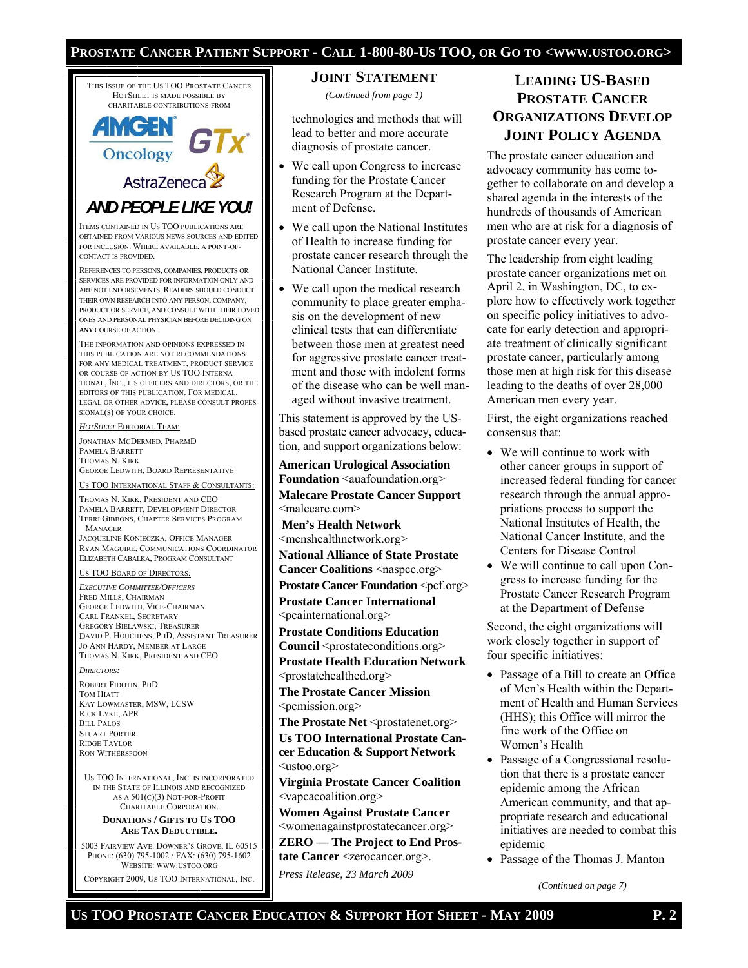#### **PROSTATE CANCER PATIENT SUPPORT - CALL 1-800-80-US TOO, OR GO TO <WWW.USTOO.ORG>**

THIS ISSUE OF THE US TOO PROSTATE CANCER HOTSHEET IS MADE POSSIBLE BY CHARITABLE CONTRIBUTIONS FROM **AMGEN** 5 I X **Oncology** AstraZeneca *AND PEOPLE LIKE YOU!*  ITEMS CONTAINED IN US TOO PUBLICATIONS ARE OBTAINED FROM VARIOUS NEWS SOURCES AND EDITED FOR INCLUSION. WHERE AVAILABLE, A POINT-OF-CONTACT IS PROVIDED. REFERENCES TO PERSONS, COMPANIES, PRODUCTS OR SERVICES ARE PROVIDED FOR INFORMATION ONLY AND ARE NOT ENDORSEMENTS. READERS SHOULD CONDUCT THEIR OWN RESEARCH INTO ANY PERSON, COMPANY, PRODUCT OR SERVICE, AND CONSULT WITH THEIR LOVED ONES AND PERSONAL PHYSICIAN BEFORE DECIDING ON **ANY** COURSE OF ACTION. THE INFORMATION AND OPINIONS EXPRESSED IN THIS PUBLICATION ARE NOT RECOMMENDATIONS FOR ANY MEDICAL TREATMENT, PRODUCT SERVICE OR COURSE OF ACTION BY US TOO INTERNA-TIONAL, INC., ITS OFFICERS AND DIRECTORS, OR THE EDITORS OF THIS PUBLICATION. FOR MEDICAL, LEGAL OR OTHER ADVICE, PLEASE CONSULT PROFES-SIONAL(S) OF YOUR CHOICE. *HOTSHEET* EDITORIAL TEAM: JONATHAN MCDERMED, PHARMD PAMELA BARRETT THOMAS N. KIRK GEORGE LEDWITH, BOARD REPRESENTATIVE US TOO INTERNATIONAL STAFF & CONSULTANTS: THOMAS N. KIRK, PRESIDENT AND CEO PAMELA BARRETT, DEVELOPMENT DIRECTOR TERRI GIBBONS, CHAPTER SERVICES PROGRAM MANAGER JACQUELINE KONIECZKA, OFFICE MANAGER RYAN MAGUIRE, COMMUNICATIONS COORDINATOR ELIZABETH CABALKA, PROGRAM CONSULTANT US TOO BOARD OF DIRECTORS: *EXECUTIVE COMMITTEE/OFFICERS* FRED MILLS, CHAIRMAN GEORGE LEDWITH, VICE-CHAIRMAN CARL FRANKEL, SECRETARY <pcainternational.org> GREGORY BIELAWSKI, TREASURER DAVID P. HOUCHENS, PHD, ASSISTANT TREASURER JO ANN HARDY, MEMBER AT LARGE THOMAS N. KIRK, PRESIDENT AND CEO *DIRECTORS:*  ROBERT FIDOTIN, PHD TOM HIATT KAY LOWMASTER, MSW, LCSW RICK LYKE, APR BILL PALOS STUART PORTER RIDGE TAYLOR RON WITHERSPOON US TOO INTERNATIONAL, INC. IS INCORPORATED IN THE STATE OF ILLINOIS AND RECOGNIZED AS A 501(C)(3) NOT-FOR-PROFIT CHARITABLE CORPORATION. **DONATIONS / GIFTS TO US TOO ARE TAX DEDUCTIBLE.**  5003 FAIRVIEW AVE. DOWNER'S GROVE, IL 60515

PHONE: (630) 795-1002 / FAX: (630) 795-1602 WEBSITE: WWW.USTOO.ORG

COPYRIGHT 2009, US TOO INTERNATIONAL, INC.

#### **JOINT STATEMENT**

*(Continued from page 1)* 

technologies and methods that will lead to better and more accurate diagnosis of prostate cancer.

- We call upon Congress to increase funding for the Prostate Cancer Research Program at the Department of Defense.
- We call upon the National Institutes of Health to increase funding for prostate cancer research through the National Cancer Institute.
- We call upon the medical research community to place greater emphasis on the development of new clinical tests that can differentiate between those men at greatest need for aggressive prostate cancer treatment and those with indolent forms of the disease who can be well managed without invasive treatment.

This statement is approved by the USbased prostate cancer advocacy, education, and support organizations below:

**American Urological Association Foundation** <auafoundation.org> **Malecare Prostate Cancer Support**  <malecare.com>

**Men's Health Network**  <menshealthnetwork.org>

**National Alliance of State Prostate Cancer Coalitions <naspcc.org>** 

**Prostate Cancer Foundation** <pcf.org> **Prostate Cancer International** 

**Prostate Conditions Education Council** <prostateconditions.org> **Prostate Health Education Network**  <prostatehealthed.org>

**The Prostate Cancer Mission**  <pcmission.org>

**The Prostate Net** <prostatenet.org> **Us TOO International Prostate Cancer Education & Support Network**  <ustoo.org>

**Virginia Prostate Cancer Coalition**  <vapcacoalition.org>

**Women Against Prostate Cancer**  <womenagainstprostatecancer.org>

**ZERO — The Project to End Prostate Cancer** <zerocancer.org>.

*Press Release, 23 March 2009* 

# **LEADING US-BASED PROSTATE CANCER ORGANIZATIONS DEVELOP JOINT POLICY AGENDA**

The prostate cancer education and advocacy community has come together to collaborate on and develop a shared agenda in the interests of the hundreds of thousands of American men who are at risk for a diagnosis of prostate cancer every year.

The leadership from eight leading prostate cancer organizations met on April 2, in Washington, DC, to explore how to effectively work together on specific policy initiatives to advocate for early detection and appropriate treatment of clinically significant prostate cancer, particularly among those men at high risk for this disease leading to the deaths of over 28,000 American men every year.

First, the eight organizations reached consensus that:

- We will continue to work with other cancer groups in support of increased federal funding for cancer research through the annual appropriations process to support the National Institutes of Health, the National Cancer Institute, and the Centers for Disease Control
- We will continue to call upon Congress to increase funding for the Prostate Cancer Research Program at the Department of Defense

Second, the eight organizations will work closely together in support of four specific initiatives:

- Passage of a Bill to create an Office of Men's Health within the Department of Health and Human Services (HHS); this Office will mirror the fine work of the Office on Women's Health
- Passage of a Congressional resolution that there is a prostate cancer epidemic among the African American community, and that appropriate research and educational initiatives are needed to combat this epidemic
- Passage of the Thomas J. Manton

*(Continued on page 7)*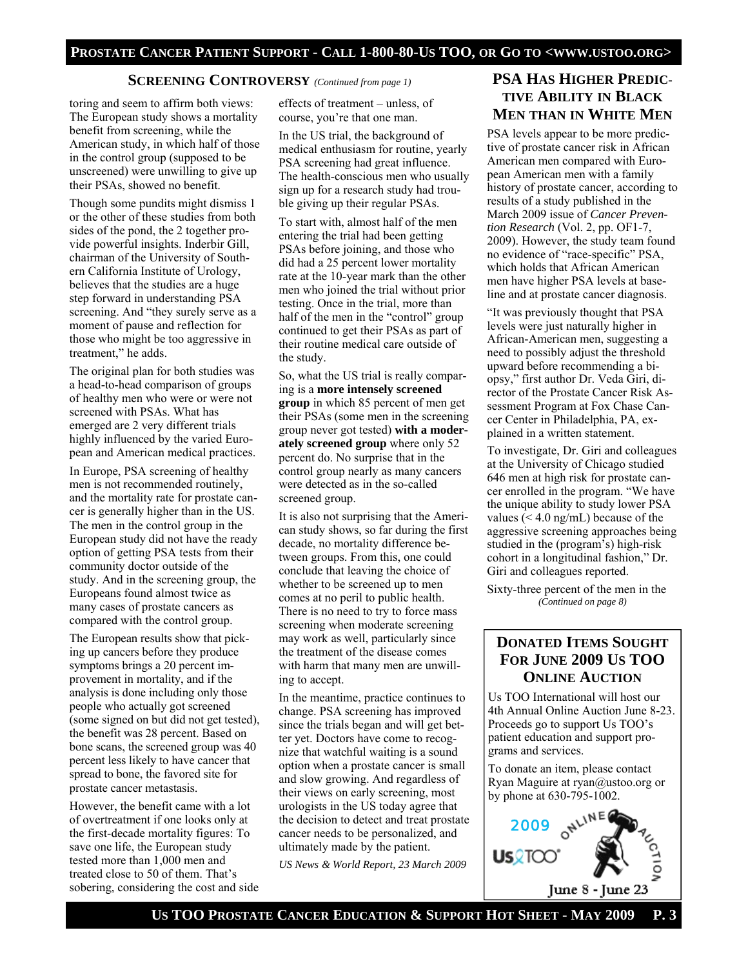#### **SCREENING CONTROVERSY** *(Continued from page 1)*

toring and seem to affirm both views: The European study shows a mortality benefit from screening, while the American study, in which half of those in the control group (supposed to be unscreened) were unwilling to give up their PSAs, showed no benefit.

Though some pundits might dismiss 1 or the other of these studies from both sides of the pond, the 2 together provide powerful insights. Inderbir Gill, chairman of the University of Southern California Institute of Urology, believes that the studies are a huge step forward in understanding PSA screening. And "they surely serve as a moment of pause and reflection for those who might be too aggressive in treatment," he adds.

The original plan for both studies was a head-to-head comparison of groups of healthy men who were or were not screened with PSAs. What has emerged are 2 very different trials highly influenced by the varied European and American medical practices.

In Europe, PSA screening of healthy men is not recommended routinely, and the mortality rate for prostate cancer is generally higher than in the US. The men in the control group in the European study did not have the ready option of getting PSA tests from their community doctor outside of the study. And in the screening group, the Europeans found almost twice as many cases of prostate cancers as compared with the control group.

The European results show that picking up cancers before they produce symptoms brings a 20 percent improvement in mortality, and if the analysis is done including only those people who actually got screened (some signed on but did not get tested), the benefit was 28 percent. Based on bone scans, the screened group was 40 percent less likely to have cancer that spread to bone, the favored site for prostate cancer metastasis.

However, the benefit came with a lot of overtreatment if one looks only at the first-decade mortality figures: To save one life, the European study tested more than 1,000 men and treated close to 50 of them. That's sobering, considering the cost and side effects of treatment – unless, of course, you're that one man.

In the US trial, the background of medical enthusiasm for routine, yearly PSA screening had great influence. The health-conscious men who usually sign up for a research study had trouble giving up their regular PSAs.

To start with, almost half of the men entering the trial had been getting PSAs before joining, and those who did had a 25 percent lower mortality rate at the 10-year mark than the other men who joined the trial without prior testing. Once in the trial, more than half of the men in the "control" group continued to get their PSAs as part of their routine medical care outside of the study.

So, what the US trial is really comparing is a **more intensely screened group** in which 85 percent of men get their PSAs (some men in the screening group never got tested) **with a moderately screened group** where only 52 percent do. No surprise that in the control group nearly as many cancers were detected as in the so-called screened group.

It is also not surprising that the American study shows, so far during the first decade, no mortality difference between groups. From this, one could conclude that leaving the choice of whether to be screened up to men comes at no peril to public health. There is no need to try to force mass screening when moderate screening may work as well, particularly since the treatment of the disease comes with harm that many men are unwilling to accept.

 *2009*  cancer needs to be personalized, and In the meantime, practice continues to change. PSA screening has improved since the trials began and will get better yet. Doctors have come to recognize that watchful waiting is a sound option when a prostate cancer is small and slow growing. And regardless of their views on early screening, most urologists in the US today agree that the decision to detect and treat prostate ultimately made by the patient.

*US News & World Report, 23 March 2009* 

# **PSA HAS HIGHER PREDIC-TIVE ABILITY IN BLACK MEN THAN IN WHITE MEN**

PSA levels appear to be more predictive of prostate cancer risk in African American men compared with European American men with a family history of prostate cancer, according to results of a study published in the March 2009 issue of *Cancer Prevention Research* (Vol. 2, pp. OF1-7, 2009). However, the study team found no evidence of "race-specific" PSA, which holds that African American men have higher PSA levels at baseline and at prostate cancer diagnosis.

"It was previously thought that PSA levels were just naturally higher in African-American men, suggesting a need to possibly adjust the threshold upward before recommending a biopsy," first author Dr. Veda Giri, director of the Prostate Cancer Risk Assessment Program at Fox Chase Cancer Center in Philadelphia, PA, explained in a written statement.

To investigate, Dr. Giri and colleagues at the University of Chicago studied 646 men at high risk for prostate cancer enrolled in the program. "We have the unique ability to study lower PSA values  $( $4.0 \text{ ng/mL}$ ) because of the$ aggressive screening approaches being studied in the (program's) high-risk cohort in a longitudinal fashion," Dr. Giri and colleagues reported.

Sixty-three percent of the men in the *(Continued on page 8)* 

# **DONATED ITEMS SOUGHT FOR JUNE 2009 US TOO ONLINE AUCTION**

Us TOO International will host our 4th Annual Online Auction June 8-23. Proceeds go to support Us TOO's patient education and support programs and services.

To donate an item, please contact Ryan Maguire at ryan@ustoo.org or by phone at 630-795-1002.

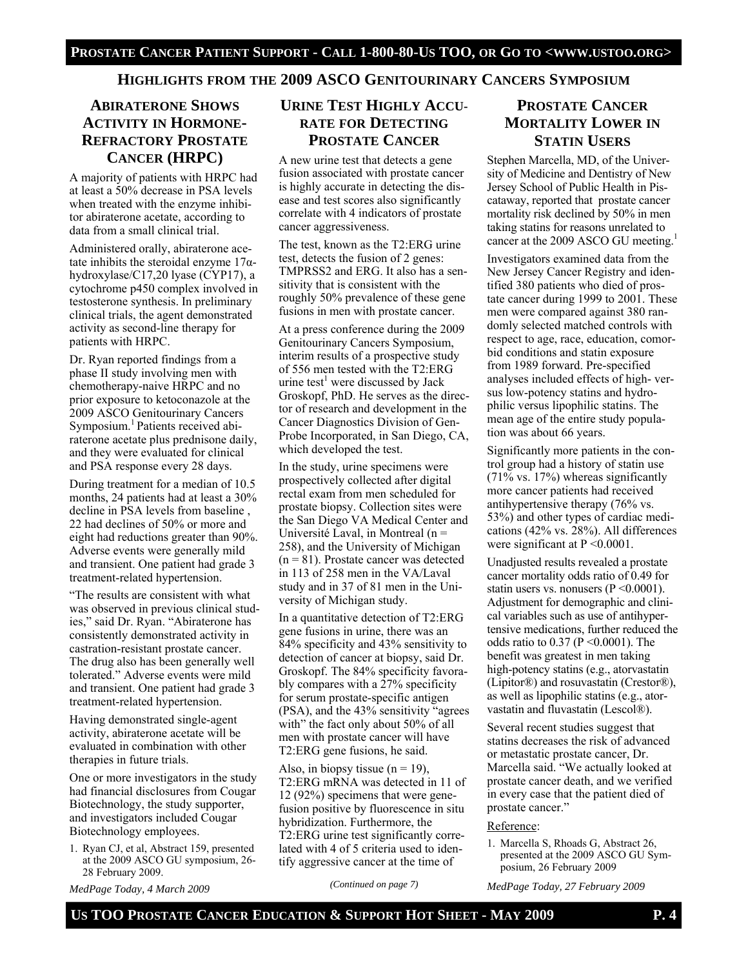#### **HIGHLIGHTS FROM THE 2009 ASCO GENITOURINARY CANCERS SYMPOSIUM**

### **ABIRATERONE SHOWS ACTIVITY IN HORMONE-REFRACTORY PROSTATE CANCER (HRPC)**

A majority of patients with HRPC had at least a 50% decrease in PSA levels when treated with the enzyme inhibitor abiraterone acetate, according to data from a small clinical trial.

Administered orally, abiraterone acetate inhibits the steroidal enzyme  $17\alpha$ hydroxylase/C17,20 lyase (CYP17), a cytochrome p450 complex involved in testosterone synthesis. In preliminary clinical trials, the agent demonstrated activity as second-line therapy for patients with HRPC.

Dr. Ryan reported findings from a phase II study involving men with chemotherapy-naive HRPC and no prior exposure to ketoconazole at the 2009 ASCO Genitourinary Cancers Symposium.<sup>1</sup> Patients received abiraterone acetate plus prednisone daily, and they were evaluated for clinical and PSA response every 28 days.

During treatment for a median of 10.5 months, 24 patients had at least a 30% decline in PSA levels from baseline , 22 had declines of 50% or more and eight had reductions greater than 90%. Adverse events were generally mild and transient. One patient had grade 3 treatment-related hypertension.

"The results are consistent with what was observed in previous clinical studies," said Dr. Ryan. "Abiraterone has consistently demonstrated activity in castration-resistant prostate cancer. The drug also has been generally well tolerated." Adverse events were mild and transient. One patient had grade 3 treatment-related hypertension.

Having demonstrated single-agent activity, abiraterone acetate will be evaluated in combination with other therapies in future trials.

One or more investigators in the study had financial disclosures from Cougar Biotechnology, the study supporter, and investigators included Cougar Biotechnology employees.

1. Ryan CJ, et al, Abstract 159, presented at the 2009 ASCO GU symposium, 26- 28 February 2009.

*MedPage Today, 4 March 2009* 

# **URINE TEST HIGHLY ACCU-RATE FOR DETECTING PROSTATE CANCER**

A new urine test that detects a gene fusion associated with prostate cancer is highly accurate in detecting the disease and test scores also significantly correlate with 4 indicators of prostate cancer aggressiveness.

The test, known as the T2:ERG urine test, detects the fusion of 2 genes: TMPRSS2 and ERG. It also has a sensitivity that is consistent with the roughly 50% prevalence of these gene fusions in men with prostate cancer.

At a press conference during the 2009 Genitourinary Cancers Symposium, interim results of a prospective study of 556 men tested with the T2:ERG urine test<sup>1</sup> were discussed by Jack Groskopf, PhD. He serves as the director of research and development in the Cancer Diagnostics Division of Gen-Probe Incorporated, in San Diego, CA, which developed the test.

In the study, urine specimens were prospectively collected after digital rectal exam from men scheduled for prostate biopsy. Collection sites were the San Diego VA Medical Center and Université Laval, in Montreal (n = 258), and the University of Michigan  $(n = 81)$ . Prostate cancer was detected in 113 of 258 men in the VA/Laval study and in 37 of 81 men in the University of Michigan study.

In a quantitative detection of T2:ERG gene fusions in urine, there was an 84% specificity and 43% sensitivity to detection of cancer at biopsy, said Dr. Groskopf. The 84% specificity favorably compares with a 27% specificity for serum prostate-specific antigen (PSA), and the 43% sensitivity "agrees with" the fact only about 50% of all men with prostate cancer will have T2:ERG gene fusions, he said.

Also, in biopsy tissue  $(n = 19)$ , T2:ERG mRNA was detected in 11 of 12 (92%) specimens that were genefusion positive by fluorescence in situ hybridization. Furthermore, the T2:ERG urine test significantly correlated with 4 of 5 criteria used to identify aggressive cancer at the time of

#### *(Continued on page 7)*

**PROSTATE CANCER MORTALITY LOWER IN STATIN USERS**

Stephen Marcella, MD, of the University of Medicine and Dentistry of New Jersey School of Public Health in Piscataway, reported that prostate cancer mortality risk declined by 50% in men taking statins for reasons unrelated to cancer at the 2009 ASCO GU meeting.<sup>1</sup>

Investigators examined data from the New Jersey Cancer Registry and identified 380 patients who died of prostate cancer during 1999 to 2001. These men were compared against 380 randomly selected matched controls with respect to age, race, education, comorbid conditions and statin exposure from 1989 forward. Pre-specified analyses included effects of high- versus low-potency statins and hydrophilic versus lipophilic statins. The mean age of the entire study population was about 66 years.

Significantly more patients in the control group had a history of statin use (71% vs. 17%) whereas significantly more cancer patients had received antihypertensive therapy (76% vs. 53%) and other types of cardiac medications (42% vs. 28%). All differences were significant at  $P \le 0.0001$ .

Unadjusted results revealed a prostate cancer mortality odds ratio of 0.49 for statin users vs. nonusers ( $P \le 0.0001$ ). Adjustment for demographic and clinical variables such as use of antihypertensive medications, further reduced the odds ratio to 0.37 (P <0.0001). The benefit was greatest in men taking high-potency statins (e.g., atorvastatin (Lipitor®) and rosuvastatin (Crestor®), as well as lipophilic statins (e.g., atorvastatin and fluvastatin (Lescol®).

Several recent studies suggest that statins decreases the risk of advanced or metastatic prostate cancer, Dr. Marcella said. "We actually looked at prostate cancer death, and we verified in every case that the patient died of prostate cancer."

#### Reference:

1. Marcella S, Rhoads G, Abstract 26, presented at the 2009 ASCO GU Symposium, 26 February 2009

*MedPage Today, 27 February 2009*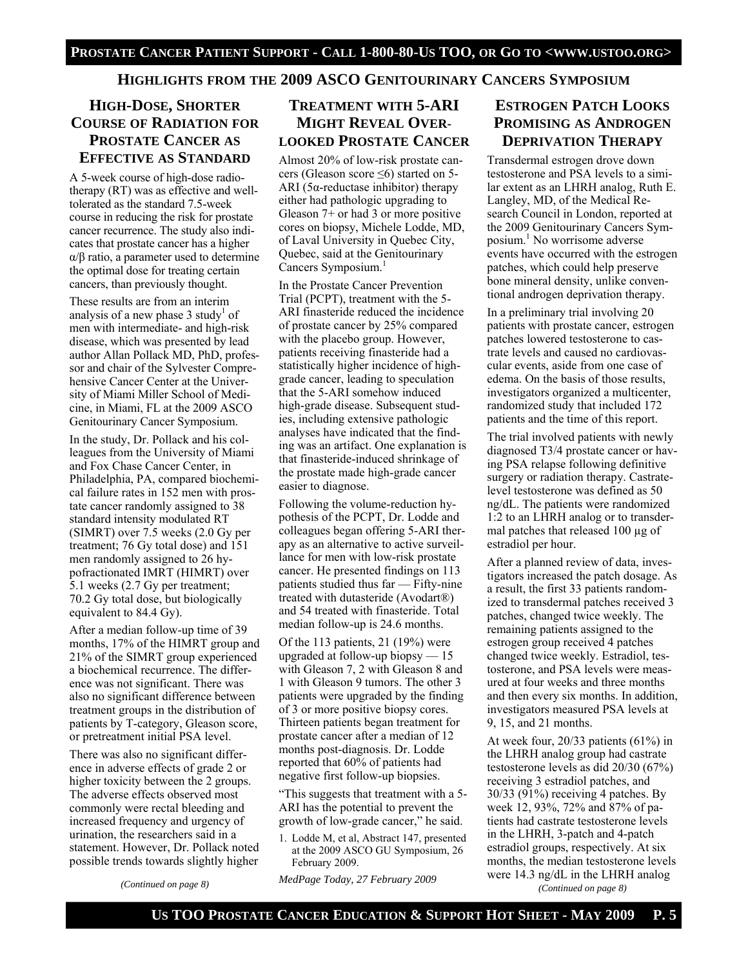#### **HIGHLIGHTS FROM THE 2009 ASCO GENITOURINARY CANCERS SYMPOSIUM**

# **HIGH-DOSE, SHORTER COURSE OF RADIATION FOR PROSTATE CANCER AS EFFECTIVE AS STANDARD**

A 5-week course of high-dose radiotherapy (RT) was as effective and welltolerated as the standard 7.5-week course in reducing the risk for prostate cancer recurrence. The study also indicates that prostate cancer has a higher α/β ratio, a parameter used to determine the optimal dose for treating certain cancers, than previously thought.

These results are from an interim analysis of a new phase  $3$  study<sup>1</sup> of men with intermediate- and high-risk disease, which was presented by lead author Allan Pollack MD, PhD, professor and chair of the Sylvester Comprehensive Cancer Center at the University of Miami Miller School of Medicine, in Miami, FL at the 2009 ASCO Genitourinary Cancer Symposium.

In the study, Dr. Pollack and his colleagues from the University of Miami and Fox Chase Cancer Center, in Philadelphia, PA, compared biochemical failure rates in 152 men with prostate cancer randomly assigned to 38 standard intensity modulated RT (SIMRT) over 7.5 weeks (2.0 Gy per treatment; 76 Gy total dose) and 151 men randomly assigned to 26 hypofractionated IMRT (HIMRT) over 5.1 weeks (2.7 Gy per treatment; 70.2 Gy total dose, but biologically equivalent to 84.4 Gy).

After a median follow-up time of 39 months, 17% of the HIMRT group and 21% of the SIMRT group experienced a biochemical recurrence. The difference was not significant. There was also no significant difference between treatment groups in the distribution of patients by T-category, Gleason score, or pretreatment initial PSA level.

There was also no significant difference in adverse effects of grade 2 or higher toxicity between the 2 groups. The adverse effects observed most commonly were rectal bleeding and increased frequency and urgency of urination, the researchers said in a statement. However, Dr. Pollack noted possible trends towards slightly higher

*(Continued on page 8)* 

# **TREATMENT WITH 5-ARI MIGHT REVEAL OVER-LOOKED PROSTATE CANCER**

Almost 20% of low-risk prostate cancers (Gleason score ≤6) started on 5- ARI (5α-reductase inhibitor) therapy either had pathologic upgrading to Gleason 7+ or had 3 or more positive cores on biopsy, Michele Lodde, MD, of Laval University in Quebec City, Quebec, said at the Genitourinary Cancers Symposium.<sup>1</sup>

In the Prostate Cancer Prevention Trial (PCPT), treatment with the 5- ARI finasteride reduced the incidence of prostate cancer by 25% compared with the placebo group. However, patients receiving finasteride had a statistically higher incidence of highgrade cancer, leading to speculation that the 5-ARI somehow induced high-grade disease. Subsequent studies, including extensive pathologic analyses have indicated that the finding was an artifact. One explanation is that finasteride-induced shrinkage of the prostate made high-grade cancer easier to diagnose.

Following the volume-reduction hypothesis of the PCPT, Dr. Lodde and colleagues began offering 5-ARI therapy as an alternative to active surveillance for men with low-risk prostate cancer. He presented findings on 113 patients studied thus far — Fifty-nine treated with dutasteride (Avodart®) and 54 treated with finasteride. Total median follow-up is 24.6 months.

Of the 113 patients, 21 (19%) were upgraded at follow-up biopsy — 15 with Gleason 7, 2 with Gleason 8 and 1 with Gleason 9 tumors. The other 3 patients were upgraded by the finding of 3 or more positive biopsy cores. Thirteen patients began treatment for prostate cancer after a median of 12 months post-diagnosis. Dr. Lodde reported that 60% of patients had negative first follow-up biopsies.

"This suggests that treatment with a 5- ARI has the potential to prevent the growth of low-grade cancer," he said.

1. Lodde M, et al, Abstract 147, presented at the 2009 ASCO GU Symposium, 26 February 2009.

*MedPage Today, 27 February 2009* 

# **ESTROGEN PATCH LOOKS PROMISING AS ANDROGEN DEPRIVATION THERAPY**

Transdermal estrogen drove down testosterone and PSA levels to a similar extent as an LHRH analog, Ruth E. Langley, MD, of the Medical Research Council in London, reported at the 2009 Genitourinary Cancers Symposium.<sup>1</sup> No worrisome adverse events have occurred with the estrogen patches, which could help preserve bone mineral density, unlike conventional androgen deprivation therapy.

In a preliminary trial involving 20 patients with prostate cancer, estrogen patches lowered testosterone to castrate levels and caused no cardiovascular events, aside from one case of edema. On the basis of those results, investigators organized a multicenter, randomized study that included 172 patients and the time of this report.

The trial involved patients with newly diagnosed T3/4 prostate cancer or having PSA relapse following definitive surgery or radiation therapy. Castratelevel testosterone was defined as 50 ng/dL. The patients were randomized 1:2 to an LHRH analog or to transdermal patches that released 100 µg of estradiol per hour.

After a planned review of data, investigators increased the patch dosage. As a result, the first 33 patients randomized to transdermal patches received 3 patches, changed twice weekly. The remaining patients assigned to the estrogen group received 4 patches changed twice weekly. Estradiol, testosterone, and PSA levels were measured at four weeks and three months and then every six months. In addition, investigators measured PSA levels at 9, 15, and 21 months.

At week four, 20/33 patients (61%) in the LHRH analog group had castrate testosterone levels as did 20/30 (67%) receiving 3 estradiol patches, and 30/33 (91%) receiving 4 patches. By week 12, 93%, 72% and 87% of patients had castrate testosterone levels in the LHRH, 3-patch and 4-patch estradiol groups, respectively. At six months, the median testosterone levels were 14.3 ng/dL in the LHRH analog

*(Continued on page 8)*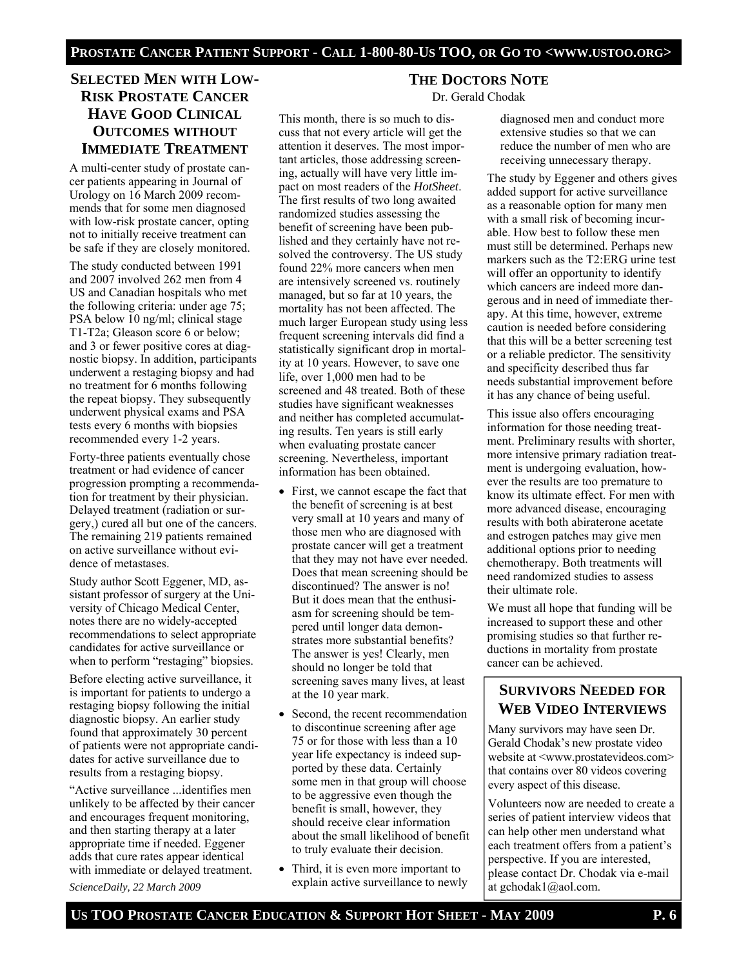# **SELECTED MEN WITH LOW-RISK PROSTATE CANCER HAVE GOOD CLINICAL OUTCOMES WITHOUT IMMEDIATE TREATMENT**

A multi-center study of prostate cancer patients appearing in Journal of Urology on 16 March 2009 recommends that for some men diagnosed with low-risk prostate cancer, opting not to initially receive treatment can be safe if they are closely monitored.

The study conducted between 1991 and 2007 involved 262 men from 4 US and Canadian hospitals who met the following criteria: under age 75; PSA below 10 ng/ml; clinical stage T1-T2a; Gleason score 6 or below; and 3 or fewer positive cores at diagnostic biopsy. In addition, participants underwent a restaging biopsy and had no treatment for 6 months following the repeat biopsy. They subsequently underwent physical exams and PSA tests every 6 months with biopsies recommended every 1-2 years.

Forty-three patients eventually chose treatment or had evidence of cancer progression prompting a recommendation for treatment by their physician. Delayed treatment (radiation or surgery,) cured all but one of the cancers. The remaining 219 patients remained on active surveillance without evidence of metastases.

Study author Scott Eggener, MD, assistant professor of surgery at the University of Chicago Medical Center, notes there are no widely-accepted recommendations to select appropriate candidates for active surveillance or when to perform "restaging" biopsies.

Before electing active surveillance, it is important for patients to undergo a restaging biopsy following the initial diagnostic biopsy. An earlier study found that approximately 30 percent of patients were not appropriate candidates for active surveillance due to results from a restaging biopsy.

"Active surveillance ...identifies men unlikely to be affected by their cancer and encourages frequent monitoring, and then starting therapy at a later appropriate time if needed. Eggener adds that cure rates appear identical with immediate or delayed treatment.

*ScienceDaily, 22 March 2009* 

This month, there is so much to discuss that not every article will get the attention it deserves. The most important articles, those addressing screening, actually will have very little impact on most readers of the *HotSheet*. The first results of two long awaited randomized studies assessing the benefit of screening have been published and they certainly have not resolved the controversy. The US study found 22% more cancers when men are intensively screened vs. routinely managed, but so far at 10 years, the mortality has not been affected. The much larger European study using less frequent screening intervals did find a statistically significant drop in mortality at 10 years. However, to save one life, over 1,000 men had to be screened and 48 treated. Both of these studies have significant weaknesses and neither has completed accumulating results. Ten years is still early when evaluating prostate cancer screening. Nevertheless, important information has been obtained.

- First, we cannot escape the fact that the benefit of screening is at best very small at 10 years and many of those men who are diagnosed with prostate cancer will get a treatment that they may not have ever needed. Does that mean screening should be discontinued? The answer is no! But it does mean that the enthusiasm for screening should be tempered until longer data demonstrates more substantial benefits? The answer is yes! Clearly, men should no longer be told that screening saves many lives, at least at the 10 year mark.
- Second, the recent recommendation to discontinue screening after age 75 or for those with less than a 10 year life expectancy is indeed supported by these data. Certainly some men in that group will choose to be aggressive even though the benefit is small, however, they should receive clear information about the small likelihood of benefit to truly evaluate their decision.
- Third, it is even more important to explain active surveillance to newly

# **THE DOCTORS NOTE**

Dr. Gerald Chodak

diagnosed men and conduct more extensive studies so that we can reduce the number of men who are receiving unnecessary therapy.

The study by Eggener and others gives added support for active surveillance as a reasonable option for many men with a small risk of becoming incurable. How best to follow these men must still be determined. Perhaps new markers such as the T2:ERG urine test will offer an opportunity to identify which cancers are indeed more dangerous and in need of immediate therapy. At this time, however, extreme caution is needed before considering that this will be a better screening test or a reliable predictor. The sensitivity and specificity described thus far needs substantial improvement before it has any chance of being useful.

This issue also offers encouraging information for those needing treatment. Preliminary results with shorter, more intensive primary radiation treatment is undergoing evaluation, however the results are too premature to know its ultimate effect. For men with more advanced disease, encouraging results with both abiraterone acetate and estrogen patches may give men additional options prior to needing chemotherapy. Both treatments will need randomized studies to assess their ultimate role.

We must all hope that funding will be increased to support these and other promising studies so that further reductions in mortality from prostate cancer can be achieved.

# **SURVIVORS NEEDED FOR WEB VIDEO INTERVIEWS**

Many survivors may have seen Dr. Gerald Chodak's new prostate video website at <www.prostatevideos.com> that contains over 80 videos covering every aspect of this disease.

Volunteers now are needed to create a series of patient interview videos that can help other men understand what each treatment offers from a patient's perspective. If you are interested, please contact Dr. Chodak via e-mail at gchodak1@aol.com.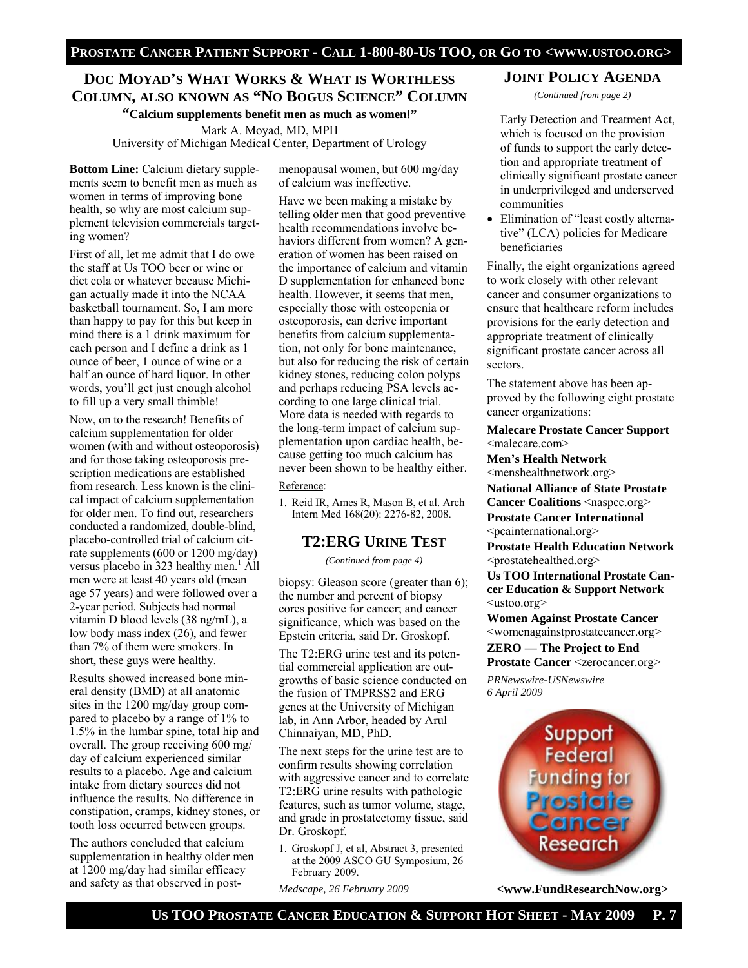# **DOC MOYAD'S WHAT WORKS & WHAT IS WORTHLESS COLUMN, ALSO KNOWN AS "NO BOGUS SCIENCE" COLUMN "Calcium supplements benefit men as much as women!"**

Mark A. Moyad, MD, MPH University of Michigan Medical Center, Department of Urology

**Bottom Line:** Calcium dietary supplements seem to benefit men as much as women in terms of improving bone health, so why are most calcium supplement television commercials targeting women?

First of all, let me admit that I do owe the staff at Us TOO beer or wine or diet cola or whatever because Michigan actually made it into the NCAA basketball tournament. So, I am more than happy to pay for this but keep in mind there is a 1 drink maximum for each person and I define a drink as 1 ounce of beer, 1 ounce of wine or a half an ounce of hard liquor. In other words, you'll get just enough alcohol to fill up a very small thimble!

Now, on to the research! Benefits of calcium supplementation for older women (with and without osteoporosis) and for those taking osteoporosis prescription medications are established from research. Less known is the clinical impact of calcium supplementation for older men. To find out, researchers conducted a randomized, double-blind, placebo-controlled trial of calcium citrate supplements (600 or 1200 mg/day) versus placebo in  $323$  healthy men.<sup>1</sup> All men were at least 40 years old (mean age 57 years) and were followed over a 2-year period. Subjects had normal vitamin D blood levels (38 ng/mL), a low body mass index (26), and fewer than 7% of them were smokers. In short, these guys were healthy.

Results showed increased bone mineral density (BMD) at all anatomic sites in the 1200 mg/day group compared to placebo by a range of 1% to 1.5% in the lumbar spine, total hip and overall. The group receiving 600 mg/ day of calcium experienced similar results to a placebo. Age and calcium intake from dietary sources did not influence the results. No difference in constipation, cramps, kidney stones, or tooth loss occurred between groups.

The authors concluded that calcium supplementation in healthy older men at 1200 mg/day had similar efficacy and safety as that observed in post-

menopausal women, but 600 mg/day of calcium was ineffective.

Have we been making a mistake by telling older men that good preventive health recommendations involve behaviors different from women? A generation of women has been raised on the importance of calcium and vitamin D supplementation for enhanced bone health. However, it seems that men, especially those with osteopenia or osteoporosis, can derive important benefits from calcium supplementation, not only for bone maintenance, but also for reducing the risk of certain kidney stones, reducing colon polyps and perhaps reducing PSA levels according to one large clinical trial. More data is needed with regards to the long-term impact of calcium supplementation upon cardiac health, because getting too much calcium has never been shown to be healthy either.

#### Reference:

1. Reid IR, Ames R, Mason B, et al. Arch Intern Med 168(20): 2276-82, 2008.

#### **T2:ERG URINE TEST**

*(Continued from page 4)* 

biopsy: Gleason score (greater than 6); the number and percent of biopsy cores positive for cancer; and cancer significance, which was based on the Epstein criteria, said Dr. Groskopf.

The T2:ERG urine test and its potential commercial application are outgrowths of basic science conducted on the fusion of TMPRSS2 and ERG genes at the University of Michigan lab, in Ann Arbor, headed by Arul Chinnaiyan, MD, PhD.

The next steps for the urine test are to confirm results showing correlation with aggressive cancer and to correlate T2:ERG urine results with pathologic features, such as tumor volume, stage, and grade in prostatectomy tissue, said Dr. Groskopf.

1. Groskopf J, et al, Abstract 3, presented at the 2009 ASCO GU Symposium, 26 February 2009.

*Medscape, 26 February 2009* 

#### **JOINT POLICY AGENDA**

*(Continued from page 2)* 

Early Detection and Treatment Act, which is focused on the provision of funds to support the early detection and appropriate treatment of clinically significant prostate cancer in underprivileged and underserved communities

• Elimination of "least costly alternative" (LCA) policies for Medicare beneficiaries

Finally, the eight organizations agreed to work closely with other relevant cancer and consumer organizations to ensure that healthcare reform includes provisions for the early detection and appropriate treatment of clinically significant prostate cancer across all sectors.

The statement above has been approved by the following eight prostate cancer organizations:

**Malecare Prostate Cancer Support**  <malecare.com>

**Men's Health Network**  <menshealthnetwork.org>

**National Alliance of State Prostate Cancer Coalitions <naspcc.org>** 

**Prostate Cancer International**  <pcainternational.org>

**Prostate Health Education Network**  <prostatehealthed.org>

**Us TOO International Prostate Cancer Education & Support Network**  <ustoo.org>

**Women Against Prostate Cancer**  <womenagainstprostatecancer.org> **ZERO — The Project to End** 

**Prostate Cancer <zerocancer.org>** *PRNewswire-USNewswire 6 April 2009* 



**<www.FundResearchNow.org>**